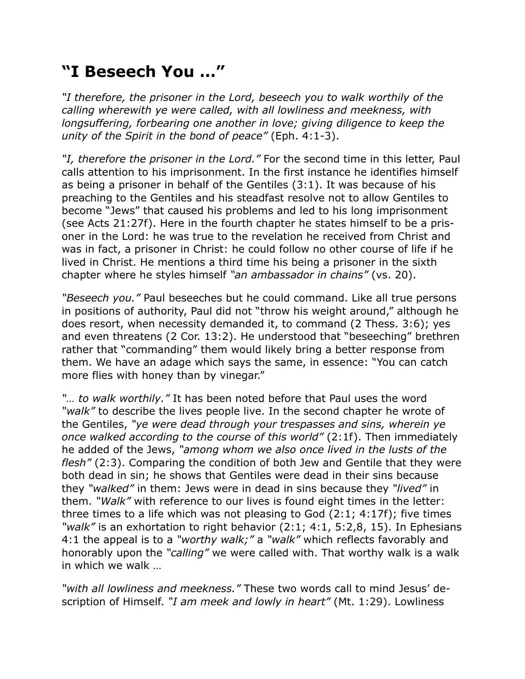## **"I Beseech You …"**

*"I therefore, the prisoner in the Lord, beseech you to walk worthily of the calling wherewith ye were called, with all lowliness and meekness, with longsuffering, forbearing one another in love; giving diligence to keep the unity of the Spirit in the bond of peace"* (Eph. 4:1-3).

*"I, therefore the prisoner in the Lord."* For the second time in this letter, Paul calls attention to his imprisonment. In the first instance he identifies himself as being a prisoner in behalf of the Gentiles (3:1). It was because of his preaching to the Gentiles and his steadfast resolve not to allow Gentiles to become "Jews" that caused his problems and led to his long imprisonment (see Acts 21:27f). Here in the fourth chapter he states himself to be a prisoner in the Lord: he was true to the revelation he received from Christ and was in fact, a prisoner in Christ: he could follow no other course of life if he lived in Christ. He mentions a third time his being a prisoner in the sixth chapter where he styles himself *"an ambassador in chains"* (vs. 20).

*"Beseech you."* Paul beseeches but he could command. Like all true persons in positions of authority, Paul did not "throw his weight around," although he does resort, when necessity demanded it, to command (2 Thess. 3:6); yes and even threatens (2 Cor. 13:2). He understood that "beseeching" brethren rather that "commanding" them would likely bring a better response from them. We have an adage which says the same, in essence: "You can catch more flies with honey than by vinegar."

*"… to walk worthily."* It has been noted before that Paul uses the word *"walk"* to describe the lives people live. In the second chapter he wrote of the Gentiles, *"ye were dead through your trespasses and sins, wherein ye once walked according to the course of this world"* (2:1f). Then immediately he added of the Jews, *"among whom we also once lived in the lusts of the flesh"* (2:3). Comparing the condition of both Jew and Gentile that they were both dead in sin; he shows that Gentiles were dead in their sins because they *"walked"* in them: Jews were in dead in sins because they *"lived"* in them. *"Walk"* with reference to our lives is found eight times in the letter: three times to a life which was not pleasing to God (2:1; 4:17f); five times *"walk"* is an exhortation to right behavior (2:1; 4:1, 5:2,8, 15). In Ephesians 4:1 the appeal is to a *"worthy walk;"* a *"walk"* which reflects favorably and honorably upon the *"calling"* we were called with. That worthy walk is a walk in which we walk …

*"with all lowliness and meekness."* These two words call to mind Jesus' description of Himself. *"I am meek and lowly in heart"* (Mt. 1:29). Lowliness